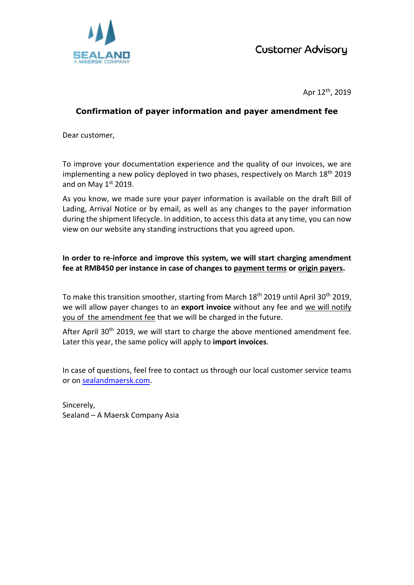

Apr 12th, 2019

## **Confirmation of payer information and payer amendment fee**

Dear customer,

To improve your documentation experience and the quality of our invoices, we are implementing a new policy deployed in two phases, respectively on March 18<sup>th</sup> 2019 and on May  $1<sup>st</sup>$  2019.

As you know, we made sure your payer information is available on the draft Bill of Lading, Arrival Notice or by email, as well as any changes to the payer information during the shipment lifecycle. In addition, to access this data at any time, you can now view on our website any standing instructions that you agreed upon.

**In order to re-inforce and improve this system, we will start charging amendment fee at RMB450 per instance in case of changes to payment terms or origin payers.**

To make this transition smoother, starting from March 18<sup>th</sup> 2019 until April 30<sup>th</sup> 2019, we will allow payer changes to an **export invoice** without any fee and we will notify you of the amendment fee that we will be charged in the future.

After April 30<sup>th</sup> 2019, we will start to charge the above mentioned amendment fee. Later this year, the same policy will apply to **import invoices**.

In case of questions, feel free to contact us through our local customer service teams or on [sealandmaersk.com.](http://www.sealandmaersk.com/)

Sincerely, Sealand – A Maersk Company Asia